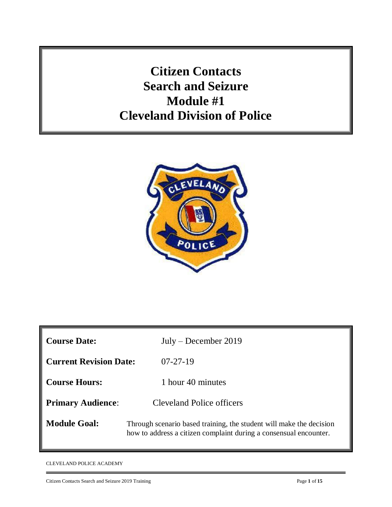**Citizen Contacts Search and Seizure Module #1 Cleveland Division of Police**



| <b>Course Date:</b>           | $July - December 2019$                                                                                                                   |
|-------------------------------|------------------------------------------------------------------------------------------------------------------------------------------|
| <b>Current Revision Date:</b> | $07 - 27 - 19$                                                                                                                           |
| <b>Course Hours:</b>          | 1 hour 40 minutes                                                                                                                        |
| <b>Primary Audience:</b>      | <b>Cleveland Police officers</b>                                                                                                         |
| <b>Module Goal:</b>           | Through scenario based training, the student will make the decision<br>how to address a citizen complaint during a consensual encounter. |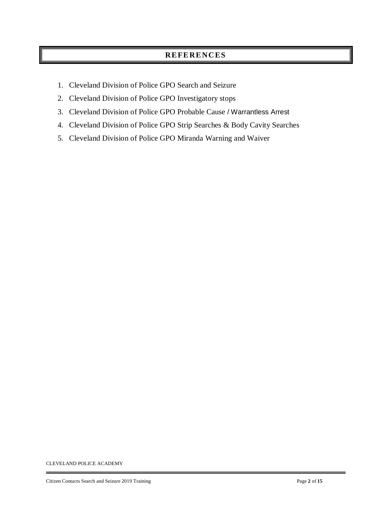## **RE FE RE NC ES**

- 1. Cleveland Division of Police GPO Search and Seizure
- 2. Cleveland Division of Police GPO Investigatory stops
- 3. Cleveland Division of Police GPO Probable Cause / Warrantless Arrest
- 4. Cleveland Division of Police GPO Strip Searches & Body Cavity Searches
- 5. Cleveland Division of Police GPO Miranda Warning and Waiver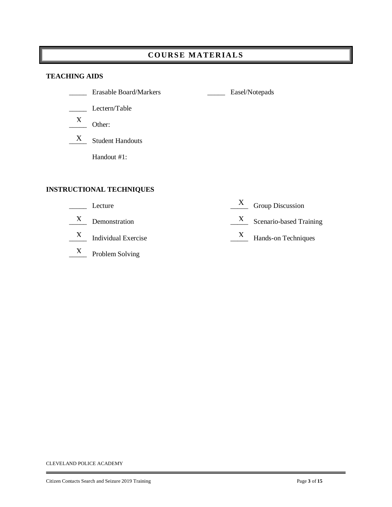# **COURS E M AT ER IA LS**

#### **TEACHING AIDS**

|   | <b>Erasable Board/Markers</b>   | Easel/Notepads |
|---|---------------------------------|----------------|
|   | Lectern/Table                   |                |
| X | Other:                          |                |
| X | <b>Student Handouts</b>         |                |
|   | Handout #1:                     |                |
|   |                                 |                |
|   | <b>INSTRUCTIONAL TECHNIQUES</b> |                |
|   |                                 | $\mathbf v$    |

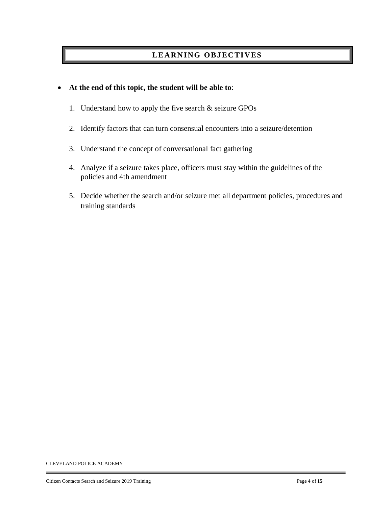## **LEARNING OBJECTIVES**

### **At the end of this topic, the student will be able to**:

- 1. Understand how to apply the five search & seizure GPOs
- 2. Identify factors that can turn consensual encounters into a seizure/detention
- 3. Understand the concept of conversational fact gathering
- 4. Analyze if a seizure takes place, officers must stay within the guidelines of the policies and 4th amendment
- 5. Decide whether the search and/or seizure met all department policies, procedures and training standards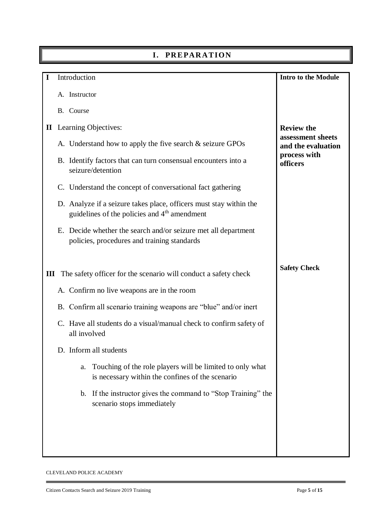|   | I. PREPARATION                                                                                                                 |                                         |
|---|--------------------------------------------------------------------------------------------------------------------------------|-----------------------------------------|
| L | Introduction                                                                                                                   | <b>Intro to the Module</b>              |
|   | A. Instructor                                                                                                                  |                                         |
|   | B. Course                                                                                                                      |                                         |
|   | <b>II</b> Learning Objectives:                                                                                                 | <b>Review the</b>                       |
|   | A. Understand how to apply the five search $&$ seizure GPOs                                                                    | assessment sheets<br>and the evaluation |
|   | B. Identify factors that can turn consensual encounters into a<br>seizure/detention                                            | process with<br>officers                |
|   | C. Understand the concept of conversational fact gathering                                                                     |                                         |
|   | D. Analyze if a seizure takes place, officers must stay within the<br>guidelines of the policies and 4 <sup>th</sup> amendment |                                         |
|   | E. Decide whether the search and/or seizure met all department<br>policies, procedures and training standards                  |                                         |
| Ш | The safety officer for the scenario will conduct a safety check                                                                | <b>Safety Check</b>                     |
|   | A. Confirm no live weapons are in the room                                                                                     |                                         |
|   | B. Confirm all scenario training weapons are "blue" and/or inert                                                               |                                         |
|   | C. Have all students do a visual/manual check to confirm safety of<br>all involved                                             |                                         |
|   | D. Inform all students                                                                                                         |                                         |
|   | Touching of the role players will be limited to only what<br>a.<br>is necessary within the confines of the scenario            |                                         |
|   | b. If the instructor gives the command to "Stop Training" the<br>scenario stops immediately                                    |                                         |
|   |                                                                                                                                |                                         |
|   |                                                                                                                                |                                         |
|   |                                                                                                                                |                                         |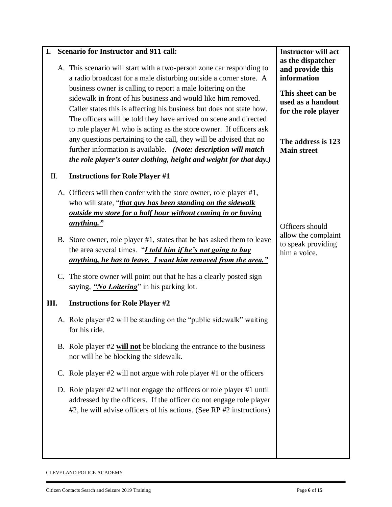| I.  | <b>Scenario for Instructor and 911 call:</b>                                                                                                                                                                                                                                                                                                                                                                                                                                                                                                                                                                                                                                                                 | <b>Instructor will act</b>                                                                                                                                        |
|-----|--------------------------------------------------------------------------------------------------------------------------------------------------------------------------------------------------------------------------------------------------------------------------------------------------------------------------------------------------------------------------------------------------------------------------------------------------------------------------------------------------------------------------------------------------------------------------------------------------------------------------------------------------------------------------------------------------------------|-------------------------------------------------------------------------------------------------------------------------------------------------------------------|
|     | A. This scenario will start with a two-person zone car responding to<br>a radio broadcast for a male disturbing outside a corner store. A<br>business owner is calling to report a male loitering on the<br>sidewalk in front of his business and would like him removed.<br>Caller states this is affecting his business but does not state how.<br>The officers will be told they have arrived on scene and directed<br>to role player #1 who is acting as the store owner. If officers ask<br>any questions pertaining to the call, they will be advised that no<br>further information is available. (Note: description will match<br>the role player's outer clothing, height and weight for that day.) | as the dispatcher<br>and provide this<br>information<br>This sheet can be<br>used as a handout<br>for the role player<br>The address is 123<br><b>Main street</b> |
| II. | <b>Instructions for Role Player #1</b>                                                                                                                                                                                                                                                                                                                                                                                                                                                                                                                                                                                                                                                                       |                                                                                                                                                                   |
|     | A. Officers will then confer with the store owner, role player #1,<br>who will state, "that guy has been standing on the sidewalk<br><u>outside my store for a half hour without coming in or buying</u><br><u>anything."</u>                                                                                                                                                                                                                                                                                                                                                                                                                                                                                | Officers should                                                                                                                                                   |
|     | B. Store owner, role player #1, states that he has asked them to leave<br>the area several times. " <i>I told him if he's not going to buy</i><br><u>anything, he has to leave. I want him removed from the area."</u>                                                                                                                                                                                                                                                                                                                                                                                                                                                                                       | allow the complaint<br>to speak providing<br>him a voice.                                                                                                         |
|     | C. The store owner will point out that he has a clearly posted sign<br>saying, " <i>No Loitering</i> " in his parking lot.                                                                                                                                                                                                                                                                                                                                                                                                                                                                                                                                                                                   |                                                                                                                                                                   |
| Ш.  | <b>Instructions for Role Player #2</b>                                                                                                                                                                                                                                                                                                                                                                                                                                                                                                                                                                                                                                                                       |                                                                                                                                                                   |
|     | A. Role player #2 will be standing on the "public sidewalk" waiting<br>for his ride.                                                                                                                                                                                                                                                                                                                                                                                                                                                                                                                                                                                                                         |                                                                                                                                                                   |
|     | B. Role player $#2$ will not be blocking the entrance to the business<br>nor will he be blocking the sidewalk.                                                                                                                                                                                                                                                                                                                                                                                                                                                                                                                                                                                               |                                                                                                                                                                   |
|     | C. Role player $#2$ will not argue with role player $#1$ or the officers                                                                                                                                                                                                                                                                                                                                                                                                                                                                                                                                                                                                                                     |                                                                                                                                                                   |
|     | D. Role player #2 will not engage the officers or role player #1 until<br>addressed by the officers. If the officer do not engage role player<br>#2, he will advise officers of his actions. (See RP #2 instructions)                                                                                                                                                                                                                                                                                                                                                                                                                                                                                        |                                                                                                                                                                   |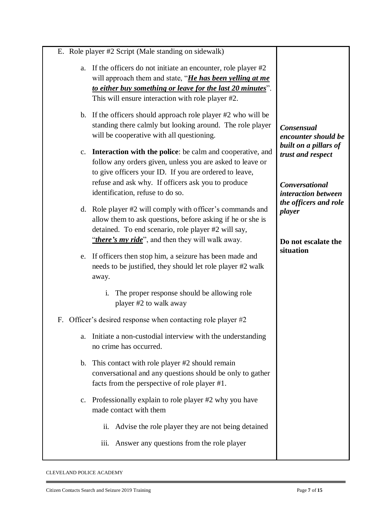| E. Role player #2 Script (Male standing on sidewalk)                                                                                                                                                                                                     |                                                                     |
|----------------------------------------------------------------------------------------------------------------------------------------------------------------------------------------------------------------------------------------------------------|---------------------------------------------------------------------|
| If the officers do not initiate an encounter, role player #2<br>a.<br>will approach them and state, " <i>He has been yelling at me</i><br>to either buy something or leave for the last 20 minutes"<br>This will ensure interaction with role player #2. |                                                                     |
| b. If the officers should approach role player #2 who will be<br>standing there calmly but looking around. The role player<br>will be cooperative with all questioning.                                                                                  | <b>Consensual</b><br>encounter should be                            |
| c. Interaction with the police: be calm and cooperative, and<br>follow any orders given, unless you are asked to leave or<br>to give officers your ID. If you are ordered to leave,<br>refuse and ask why. If officers ask you to produce                | built on a pillars of<br>trust and respect<br><b>Conversational</b> |
| identification, refuse to do so.                                                                                                                                                                                                                         | interaction between                                                 |
| d. Role player #2 will comply with officer's commands and<br>allow them to ask questions, before asking if he or she is<br>detained. To end scenario, role player #2 will say,<br>"there's my ride", and then they will walk away.                       | the officers and role<br>player<br>Do not escalate the              |
| e. If officers then stop him, a seizure has been made and<br>needs to be justified, they should let role player #2 walk<br>away.                                                                                                                         | situation                                                           |
| The proper response should be allowing role<br>$\mathbf{1}$ .<br>player #2 to walk away                                                                                                                                                                  |                                                                     |
| Officer's desired response when contacting role player $#2$<br>F.                                                                                                                                                                                        |                                                                     |
| Initiate a non-custodial interview with the understanding<br>a.<br>no crime has occurred.                                                                                                                                                                |                                                                     |
| b. This contact with role player #2 should remain<br>conversational and any questions should be only to gather<br>facts from the perspective of role player #1.                                                                                          |                                                                     |
| c. Professionally explain to role player #2 why you have<br>made contact with them                                                                                                                                                                       |                                                                     |
| Advise the role player they are not being detained<br>ii.                                                                                                                                                                                                |                                                                     |
| Answer any questions from the role player<br>iii.                                                                                                                                                                                                        |                                                                     |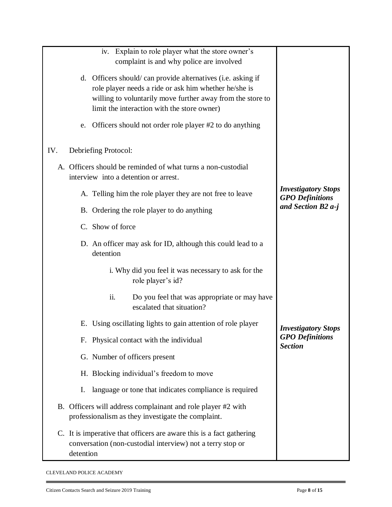| Explain to role player what the store owner's<br>1V.                                                                                            |                                                      |
|-------------------------------------------------------------------------------------------------------------------------------------------------|------------------------------------------------------|
| complaint is and why police are involved                                                                                                        |                                                      |
| d. Officers should/can provide alternatives (i.e. asking if                                                                                     |                                                      |
| role player needs a ride or ask him whether he/she is                                                                                           |                                                      |
| willing to voluntarily move further away from the store to<br>limit the interaction with the store owner)                                       |                                                      |
|                                                                                                                                                 |                                                      |
| Officers should not order role player #2 to do anything<br>e.                                                                                   |                                                      |
| IV.<br>Debriefing Protocol:                                                                                                                     |                                                      |
| A. Officers should be reminded of what turns a non-custodial<br>interview into a detention or arrest.                                           |                                                      |
| A. Telling him the role player they are not free to leave                                                                                       | <b>Investigatory Stops</b><br><b>GPO</b> Definitions |
| B. Ordering the role player to do anything                                                                                                      | and Section B2 a-j                                   |
| C. Show of force                                                                                                                                |                                                      |
| D. An officer may ask for ID, although this could lead to a<br>detention                                                                        |                                                      |
| i. Why did you feel it was necessary to ask for the<br>role player's id?                                                                        |                                                      |
| ii.<br>Do you feel that was appropriate or may have<br>escalated that situation?                                                                |                                                      |
| E. Using oscillating lights to gain attention of role player                                                                                    | <b>Investigatory Stops</b>                           |
| F. Physical contact with the individual                                                                                                         | <b>GPO</b> Definitions<br><b>Section</b>             |
| G. Number of officers present                                                                                                                   |                                                      |
| H. Blocking individual's freedom to move                                                                                                        |                                                      |
| language or tone that indicates compliance is required<br>Ι.                                                                                    |                                                      |
| B. Officers will address complainant and role player #2 with<br>professionalism as they investigate the complaint.                              |                                                      |
| C. It is imperative that officers are aware this is a fact gathering<br>conversation (non-custodial interview) not a terry stop or<br>detention |                                                      |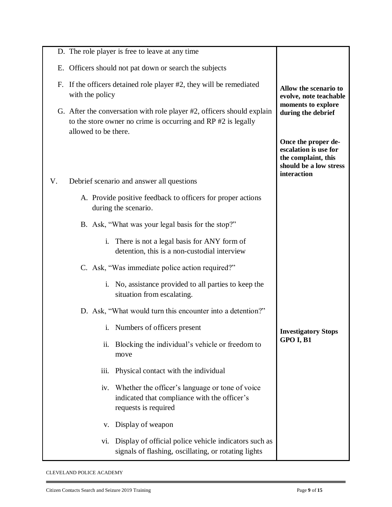|    | D. The role player is free to leave at any time                                                                                                                 |                                                                                                              |
|----|-----------------------------------------------------------------------------------------------------------------------------------------------------------------|--------------------------------------------------------------------------------------------------------------|
|    | E. Officers should not pat down or search the subjects                                                                                                          |                                                                                                              |
|    | F. If the officers detained role player #2, they will be remediated<br>with the policy                                                                          | Allow the scenario to<br>evolve, note teachable                                                              |
|    | G. After the conversation with role player #2, officers should explain<br>to the store owner no crime is occurring and RP #2 is legally<br>allowed to be there. | moments to explore<br>during the debrief                                                                     |
|    |                                                                                                                                                                 | Once the proper de-<br>escalation is use for<br>the complaint, this<br>should be a low stress<br>interaction |
| V. | Debrief scenario and answer all questions                                                                                                                       |                                                                                                              |
|    | A. Provide positive feedback to officers for proper actions<br>during the scenario.                                                                             |                                                                                                              |
|    | B. Ask, "What was your legal basis for the stop?"                                                                                                               |                                                                                                              |
|    | There is not a legal basis for ANY form of<br>$\mathbf{i}$ .<br>detention, this is a non-custodial interview                                                    |                                                                                                              |
|    | C. Ask, "Was immediate police action required?"                                                                                                                 |                                                                                                              |
|    | i. No, assistance provided to all parties to keep the<br>situation from escalating.                                                                             |                                                                                                              |
|    | D. Ask, "What would turn this encounter into a detention?"                                                                                                      |                                                                                                              |
|    | Numbers of officers present<br>i.                                                                                                                               | <b>Investigatory Stops</b>                                                                                   |
|    | Blocking the individual's vehicle or freedom to<br>ii.<br>move                                                                                                  | GPO I, B1                                                                                                    |
|    | Physical contact with the individual<br>iii.                                                                                                                    |                                                                                                              |
|    | Whether the officer's language or tone of voice<br>iv.<br>indicated that compliance with the officer's<br>requests is required                                  |                                                                                                              |
|    | Display of weapon<br>v.                                                                                                                                         |                                                                                                              |
|    | Display of official police vehicle indicators such as<br>V1.<br>signals of flashing, oscillating, or rotating lights                                            |                                                                                                              |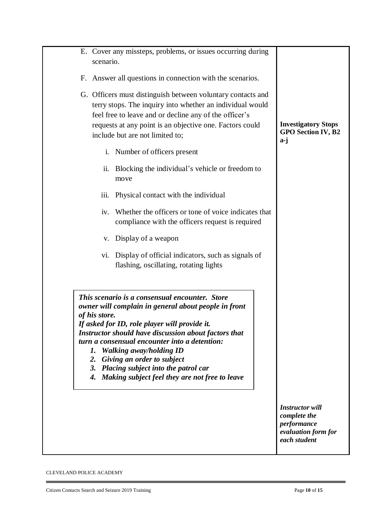| scenario.                 | E. Cover any missteps, problems, or issues occurring during                                                                                                                                                                                                                                                                                                                                                              |                                                                                              |
|---------------------------|--------------------------------------------------------------------------------------------------------------------------------------------------------------------------------------------------------------------------------------------------------------------------------------------------------------------------------------------------------------------------------------------------------------------------|----------------------------------------------------------------------------------------------|
|                           | F. Answer all questions in connection with the scenarios.                                                                                                                                                                                                                                                                                                                                                                |                                                                                              |
|                           | G. Officers must distinguish between voluntary contacts and<br>terry stops. The inquiry into whether an individual would<br>feel free to leave and or decline any of the officer's<br>requests at any point is an objective one. Factors could<br>include but are not limited to;                                                                                                                                        | <b>Investigatory Stops</b><br><b>GPO Section IV, B2</b><br>a-j                               |
| $\mathbf{i}$ .            | Number of officers present                                                                                                                                                                                                                                                                                                                                                                                               |                                                                                              |
|                           | ii. Blocking the individual's vehicle or freedom to<br>move                                                                                                                                                                                                                                                                                                                                                              |                                                                                              |
| iii.                      | Physical contact with the individual                                                                                                                                                                                                                                                                                                                                                                                     |                                                                                              |
| iv.                       | Whether the officers or tone of voice indicates that<br>compliance with the officers request is required                                                                                                                                                                                                                                                                                                                 |                                                                                              |
| V.                        | Display of a weapon                                                                                                                                                                                                                                                                                                                                                                                                      |                                                                                              |
| Vİ.                       | Display of official indicators, such as signals of<br>flashing, oscillating, rotating lights                                                                                                                                                                                                                                                                                                                             |                                                                                              |
| of his store.<br>2.<br>4. | This scenario is a consensual encounter. Store<br>owner will complain in general about people in front<br>If asked for ID, role player will provide it.<br>Instructor should have discussion about factors that<br>turn a consensual encounter into a detention:<br>1. Walking away/holding ID<br>Giving an order to subject<br>3. Placing subject into the patrol car<br>Making subject feel they are not free to leave |                                                                                              |
|                           |                                                                                                                                                                                                                                                                                                                                                                                                                          | <b>Instructor will</b><br>complete the<br>performance<br>evaluation form for<br>each student |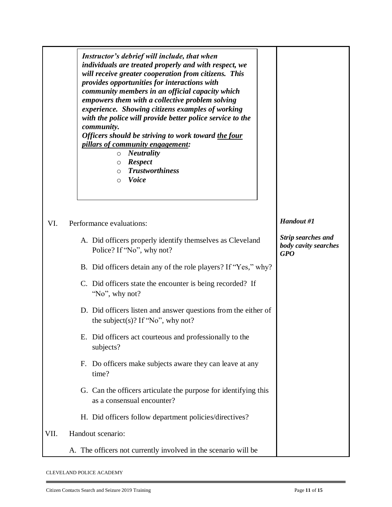|      | Instructor's debrief will include, that when<br>individuals are treated properly and with respect, we<br>will receive greater cooperation from citizens. This<br>provides opportunities for interactions with<br>community members in an official capacity which<br>empowers them with a collective problem solving<br>experience. Showing citizens examples of working<br>with the police will provide better police service to the<br>community.<br>Officers should be striving to work toward the four<br><i>pillars of community engagement:</i><br><b>Neutrality</b><br>$\circ$<br><b>Respect</b><br>$\circ$<br><b>Trustworthiness</b><br>$\circ$<br><b>Voice</b><br>$\circ$ |                                                                 |
|------|-----------------------------------------------------------------------------------------------------------------------------------------------------------------------------------------------------------------------------------------------------------------------------------------------------------------------------------------------------------------------------------------------------------------------------------------------------------------------------------------------------------------------------------------------------------------------------------------------------------------------------------------------------------------------------------|-----------------------------------------------------------------|
| VI.  | Performance evaluations:                                                                                                                                                                                                                                                                                                                                                                                                                                                                                                                                                                                                                                                          | Handout #1                                                      |
|      | A. Did officers properly identify themselves as Cleveland<br>Police? If "No", why not?                                                                                                                                                                                                                                                                                                                                                                                                                                                                                                                                                                                            | <b>Strip searches and</b><br>body cavity searches<br><b>GPO</b> |
|      | B. Did officers detain any of the role players? If "Yes," why?                                                                                                                                                                                                                                                                                                                                                                                                                                                                                                                                                                                                                    |                                                                 |
|      | C. Did officers state the encounter is being recorded? If<br>"No", why not?                                                                                                                                                                                                                                                                                                                                                                                                                                                                                                                                                                                                       |                                                                 |
|      | D. Did officers listen and answer questions from the either of<br>the subject(s)? If "No", why not?                                                                                                                                                                                                                                                                                                                                                                                                                                                                                                                                                                               |                                                                 |
|      | E. Did officers act courteous and professionally to the<br>subjects?                                                                                                                                                                                                                                                                                                                                                                                                                                                                                                                                                                                                              |                                                                 |
|      | F. Do officers make subjects aware they can leave at any<br>time?                                                                                                                                                                                                                                                                                                                                                                                                                                                                                                                                                                                                                 |                                                                 |
|      | G. Can the officers articulate the purpose for identifying this<br>as a consensual encounter?                                                                                                                                                                                                                                                                                                                                                                                                                                                                                                                                                                                     |                                                                 |
|      | H. Did officers follow department policies/directives?                                                                                                                                                                                                                                                                                                                                                                                                                                                                                                                                                                                                                            |                                                                 |
| VII. | Handout scenario:                                                                                                                                                                                                                                                                                                                                                                                                                                                                                                                                                                                                                                                                 |                                                                 |
|      | A. The officers not currently involved in the scenario will be                                                                                                                                                                                                                                                                                                                                                                                                                                                                                                                                                                                                                    |                                                                 |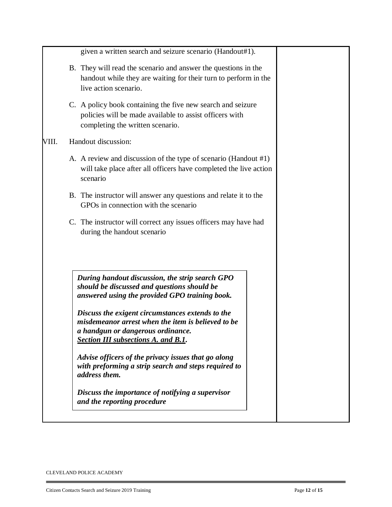| given a written search and seizure scenario (Handout#1).                                                                                                                                                                                                                                                                                                                                                                                                                                                                                                                |
|-------------------------------------------------------------------------------------------------------------------------------------------------------------------------------------------------------------------------------------------------------------------------------------------------------------------------------------------------------------------------------------------------------------------------------------------------------------------------------------------------------------------------------------------------------------------------|
| B. They will read the scenario and answer the questions in the<br>handout while they are waiting for their turn to perform in the<br>live action scenario.                                                                                                                                                                                                                                                                                                                                                                                                              |
| C. A policy book containing the five new search and seizure<br>policies will be made available to assist officers with<br>completing the written scenario.                                                                                                                                                                                                                                                                                                                                                                                                              |
| Handout discussion:                                                                                                                                                                                                                                                                                                                                                                                                                                                                                                                                                     |
| A. A review and discussion of the type of scenario (Handout #1)<br>will take place after all officers have completed the live action<br>scenario                                                                                                                                                                                                                                                                                                                                                                                                                        |
| B. The instructor will answer any questions and relate it to the<br>GPOs in connection with the scenario                                                                                                                                                                                                                                                                                                                                                                                                                                                                |
| C. The instructor will correct any issues officers may have had<br>during the handout scenario                                                                                                                                                                                                                                                                                                                                                                                                                                                                          |
| During handout discussion, the strip search GPO<br>should be discussed and questions should be<br>answered using the provided GPO training book.<br>Discuss the exigent circumstances extends to the<br>misdemeanor arrest when the item is believed to be<br>a handgun or dangerous ordinance.<br><b>Section III subsections A. and B.1.</b><br>Advise officers of the privacy issues that go along<br>with preforming a strip search and steps required to<br><i>address them.</i><br>Discuss the importance of notifying a supervisor<br>and the reporting procedure |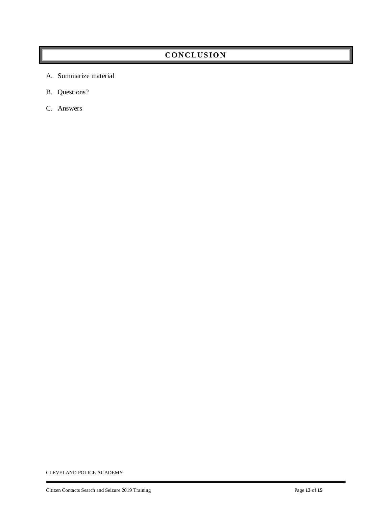# **CONC LUS ION**

- A. Summarize material
- B. Questions?
- C. Answers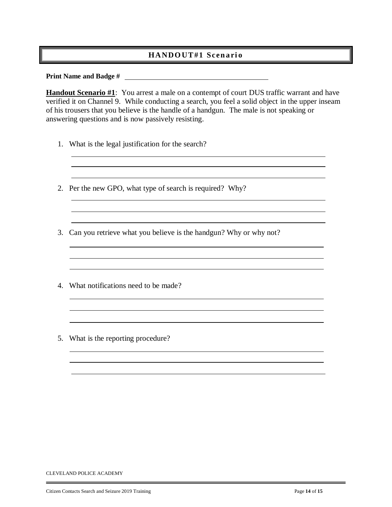### **HANDO UT #1 Scen a ri o**

#### **Print Name and Badge #**

**Handout Scenario #1**: You arrest a male on a contempt of court DUS traffic warrant and have verified it on Channel 9. While conducting a search, you feel a solid object in the upper inseam of his trousers that you believe is the handle of a handgun. The male is not speaking or answering questions and is now passively resisting.

<u> 1989 - Andrea Stadt, fransk politiker (d. 1989)</u>

<u> 1980 - Johann Barbara, martxa alemaniar argumento este alemaniar alemaniar alemaniar alemaniar alemaniar al</u>

- 1. What is the legal justification for the search?
- 2. Per the new GPO, what type of search is required? Why?
- 3. Can you retrieve what you believe is the handgun? Why or why not?

- 4. What notifications need to be made?
- 5. What is the reporting procedure?